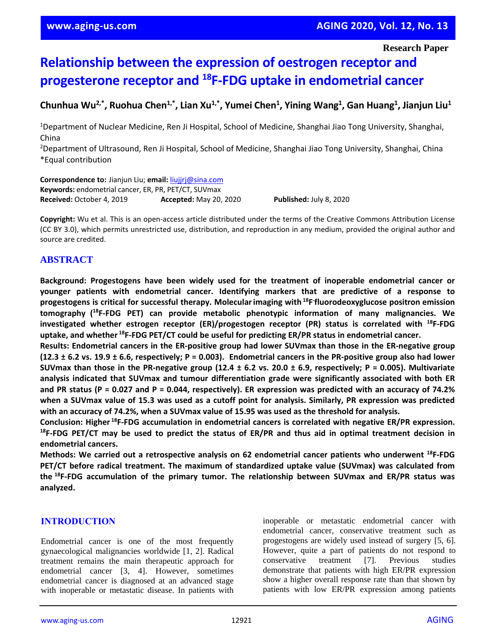**Research Paper**

# **Relationship between the expression of oestrogen receptor and progesterone receptor and <sup>18</sup>F-FDG uptake in endometrial cancer**

## Chunhua Wu<sup>2,\*</sup>, Ruohua Chen<sup>1,\*</sup>, Lian Xu<sup>1,\*</sup>, Yumei Chen<sup>1</sup>, Yining Wang<sup>1</sup>, Gan Huang<sup>1</sup>, Jianjun Liu<sup>1</sup>

<sup>1</sup>Department of Nuclear Medicine, Ren Ji Hospital, School of Medicine, Shanghai Jiao Tong University, Shanghai, China

<sup>2</sup>Department of Ultrasound, Ren Ji Hospital, School of Medicine, Shanghai Jiao Tong University, Shanghai, China \*Equal contribution

**Correspondence to:** Jianjun Liu; **email:** [liujjrj@sina.com](mailto:liujjrj@sina.com) **Keywords:** endometrial cancer, ER, PR, PET/CT, SUVmax **Received:** October 4, 2019 **Accepted:** May 20, 2020 **Published:** July 8, 2020

**Copyright:** Wu et al. This is an open-access article distributed under the terms of the Creative Commons Attribution License (CC BY 3.0), which permits unrestricted use, distribution, and reproduction in any medium, provided the original author and source are credited.

## **ABSTRACT**

**Background: Progestogens have been widely used for the treatment of inoperable endometrial cancer or younger patients with endometrial cancer. Identifying markers that are predictive of a response to progestogens is critical for successful therapy. Molecularimaging with <sup>18</sup>F - fluorodeoxyglucose positron emission tomography ( <sup>18</sup>F-FDG PET) can provide metabolic phenotypic information of many malignancies. We investigated whether estrogen receptor (ER)/progestogen receptor (PR) status is correlated with <sup>18</sup>F-FDG uptake, and whether <sup>18</sup>F-FDG PET/CT could be useful for predicting ER/PR status in endometrial cancer.**

**Results: Endometrial cancers in the ER-positive group had lower SUVmax than those in the ER-negative group**  $(12.3 \pm 6.2 \text{ vs. } 19.9 \pm 6.6)$ , respectively; P = 0.003). Endometrial cancers in the PR-positive group also had lower SUV max than those in the PR-negative group (12.4  $\pm$  6.2 vs. 20.0  $\pm$  6.9, respectively; P = 0.005). Multivariate **analysis indicated that SUVmax and tumour differentiation grade were significantly associated with both ER** and PR status (P = 0.027 and P = 0.044, respectively). ER expression was predicted with an accuracy of 74.2% when a SUVmax value of 15.3 was used as a cutoff point for analysis. Similarly, PR expression was predicted **with an accuracy of 74.2%, when a SUVmax value of 15.95 was used as the threshold for analysis.**

**Conclusion: Higher <sup>18</sup>F-FDG accumulation in endometrial cancers is correlated with negative ER/PR expression.**  $^{18}$ F-FDG PET/CT may be used to predict the status of ER/PR and thus aid in optimal treatment decision in **endometrial cancers.**

**Methods: We carried out a retrospective analysis on 62 endometrial cancer patients who underwent <sup>18</sup>F-FDG PET/CT before radical treatment. The maximum of standardized uptake value (SUVmax) was calculated from the <sup>18</sup>F-FDG accumulation of the primary tumor. The relationship between SUVmax and ER/PR status was analyzed.**

## **INTRODUCTION**

Endometrial cancer is one of the most frequently gynaecological malignancies worldwide [1, 2]. Radical treatment remains the main therapeutic approach for endometrial cancer [3, 4]. However, sometimes endometrial cancer is diagnosed at an advanced stage with inoperable or metastatic disease. In patients with

inoperable or metastatic endometrial cancer with endometrial cancer, conservative treatment such as progestogens are widely used instead of surgery [5, 6]. However, quite a part of patients do not respond to conservative treatment [7]. Previous studies demonstrate that patients with high ER/PR expression show a higher overall response rate than that shown by patients with low ER/PR expression among patients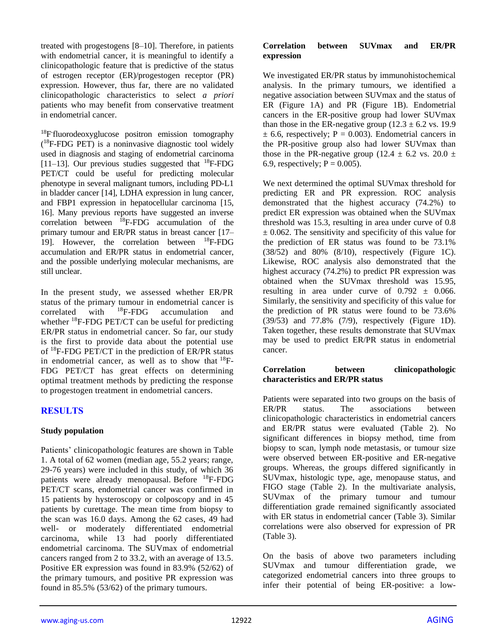treated with progestogens [8–10]. Therefore, in patients with endometrial cancer, it is meaningful to identify a clinicopathologic feature that is predictive of the status of estrogen receptor (ER)/progestogen receptor (PR) expression. However, thus far, there are no validated clinicopathologic characteristics to select *a priori*  patients who may benefit from conservative treatment in endometrial cancer.

<sup>18</sup>F fluorodeoxyglucose positron emission tomography ( <sup>18</sup>F-FDG PET) is a noninvasive diagnostic tool widely used in diagnosis and staging of endometrial carcinoma [11–13]. Our previous studies suggested that  $^{18}$ F-FDG PET/CT could be useful for predicting molecular phenotype in several malignant tumors, including PD-L1 in bladder cancer [14], LDHA expression in lung cancer, and FBP1 expression in hepatocellular carcinoma [15, 16]. Many previous reports have suggested an inverse correlation between <sup>18</sup>F-FDG accumulation of the primary tumour and ER/PR status in breast cancer [17– 19]. However, the correlation between <sup>18</sup>F-FDG accumulation and ER/PR status in endometrial cancer, and the possible underlying molecular mechanisms, are still unclear.

In the present study, we assessed whether ER/PR status of the primary tumour in endometrial cancer is correlated with <sup>18</sup>F-FDG accumulation and whether  $^{18}$ F-FDG PET/CT can be useful for predicting ER/PR status in endometrial cancer. So far, our study is the first to provide data about the potential use of <sup>18</sup>F-FDG PET/CT in the prediction of ER/PR status in endometrial cancer, as well as to show that  $^{18}F-$ FDG PET/CT has great effects on determining optimal treatment methods by predicting the response to progestogen treatment in endometrial cancers.

## **RESULTS**

## **Study population**

Patients' clinicopathologic features are shown in Table 1. A total of 62 women (median age, 55.2 years; range, 29-76 years) were included in this study, of which 36 patients were already menopausal. Before <sup>18</sup>F-FDG PET/CT scans, endometrial cancer was confirmed in 15 patients by hysteroscopy or colposcopy and in 45 patients by curettage. The mean time from biopsy to the scan was 16.0 days. Among the 62 cases, 49 had well- or moderately differentiated endometrial carcinoma, while 13 had poorly differentiated endometrial carcinoma. The SUVmax of endometrial cancers ranged from 2 to 33.2, with an average of 13.5. Positive ER expression was found in 83.9% (52/62) of the primary tumours, and positive PR expression was found in 85.5% (53/62) of the primary tumours.

#### **Correlation between SUVmax and ER/PR expression**

We investigated ER/PR status by immunohistochemical analysis. In the primary tumours, we identified a negative association between SUVmax and the status of ER (Figure 1A) and PR (Figure 1B). Endometrial cancers in the ER-positive group had lower SUVmax than those in the ER-negative group  $(12.3 \pm 6.2 \text{ vs. } 19.9)$  $\pm$  6.6, respectively; P = 0.003). Endometrial cancers in the PR-positive group also had lower SUVmax than those in the PR-negative group (12.4  $\pm$  6.2 vs. 20.0  $\pm$ 6.9, respectively;  $P = 0.005$ ).

We next determined the optimal SUVmax threshold for predicting ER and PR expression. ROC analysis demonstrated that the highest accuracy (74.2%) to predict ER expression was obtained when the SUVmax threshold was 15.3, resulting in area under curve of 0.8  $\pm$  0.062. The sensitivity and specificity of this value for the prediction of ER status was found to be 73.1% (38/52) and 80% (8/10), respectively (Figure 1C). Likewise, ROC analysis also demonstrated that the highest accuracy (74.2%) to predict PR expression was obtained when the SUVmax threshold was 15.95, resulting in area under curve of  $0.792 \pm 0.066$ . Similarly, the sensitivity and specificity of this value for the prediction of PR status were found to be 73.6% (39/53) and 77.8% (7/9), respectively (Figure 1D). Taken together, these results demonstrate that SUVmax may be used to predict ER/PR status in endometrial cancer.

#### **Correlation between clinicopathologic characteristics and ER/PR status**

Patients were separated into two groups on the basis of ER/PR status. The associations between clinicopathologic characteristics in endometrial cancers and ER/PR status were evaluated (Table 2). No significant differences in biopsy method, time from biopsy to scan, lymph node metastasis, or tumour size were observed between ER-positive and ER-negative groups. Whereas, the groups differed significantly in SUVmax, histologic type, age, menopause status, and FIGO stage (Table 2). In the multivariate analysis, SUVmax of the primary tumour and tumour differentiation grade remained significantly associated with ER status in endometrial cancer (Table 3). Similar correlations were also observed for expression of PR (Table 3).

On the basis of above two parameters including SUVmax and tumour differentiation grade, we categorized endometrial cancers into three groups to infer their potential of being ER-positive: a low-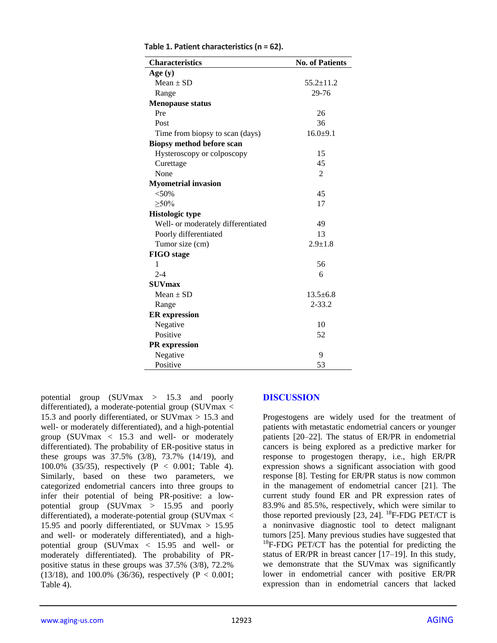| <b>Characteristics</b>             | <b>No. of Patients</b>      |
|------------------------------------|-----------------------------|
| Age(y)                             |                             |
| $Mean \pm SD$                      | $55.2 \pm 11.2$             |
| Range                              | 29-76                       |
| <b>Menopause status</b>            |                             |
| Pre                                | 26                          |
| Post                               | 36                          |
| Time from biopsy to scan (days)    | $16.0 + 9.1$                |
| <b>Biopsy method before scan</b>   |                             |
| Hysteroscopy or colposcopy         | 15                          |
| Curettage                          | 45                          |
| None                               | $\mathcal{D}_{\mathcal{L}}$ |
| <b>Myometrial invasion</b>         |                             |
| $<50\%$                            | 45                          |
| $>50\%$                            | 17                          |
| <b>Histologic type</b>             |                             |
| Well- or moderately differentiated | 49                          |
| Poorly differentiated              | 13                          |
| Tumor size (cm)                    | $2.9 \pm 1.8$               |
| <b>FIGO</b> stage                  |                             |
| 1                                  | 56                          |
| $2 - 4$                            | 6                           |
| <b>SUVmax</b>                      |                             |
| Mean $\pm$ SD                      | $13.5 + 6.8$                |
| Range                              | $2 - 33.2$                  |
| <b>ER</b> expression               |                             |
| Negative                           | 10                          |
| Positive                           | 52                          |
| <b>PR</b> expression               |                             |
| Negative                           | 9                           |
| Positive                           | 53                          |

**Table 1. Patient characteristics (n = 62).**

potential group (SUVmax > 15.3 and poorly differentiated), a moderate-potential group (SUVmax < 15.3 and poorly differentiated, or SUVmax > 15.3 and well- or moderately differentiated), and a high-potential group (SUVmax < 15.3 and well- or moderately differentiated). The probability of ER-positive status in these groups was 37.5% (3/8), 73.7% (14/19), and 100.0% (35/35), respectively (P < 0.001; Table 4). Similarly, based on these two parameters, we categorized endometrial cancers into three groups to infer their potential of being PR-positive: a lowpotential group (SUVmax > 15.95 and poorly differentiated), a moderate-potential group (SUVmax < 15.95 and poorly differentiated, or SUVmax > 15.95 and well- or moderately differentiated), and a highpotential group (SUVmax < 15.95 and well- or moderately differentiated). The probability of PRpositive status in these groups was 37.5% (3/8), 72.2% (13/18), and 100.0% (36/36), respectively (P  $< 0.001$ ; Table 4).

#### **DISCUSSION**

Progestogens are widely used for the treatment of patients with metastatic endometrial cancers or younger patients [20–22]. The status of ER/PR in endometrial cancers is being explored as a predictive marker for response to progestogen therapy, i.e., high ER/PR expression shows a significant association with good response [8]*.* Testing for ER/PR status is now common in the management of endometrial cancer [21]. The current study found ER and PR expression rates of 83.9% and 85.5%, respectively, which were similar to those reported previously  $[23, 24]$ . <sup>18</sup>F-FDG PET/CT is a noninvasive diagnostic tool to detect malignant tumors [25]. Many previous studies have suggested that  $18$ F-FDG PET/CT has the potential for predicting the status of ER/PR in breast cancer [17–19]. In this study, we demonstrate that the SUVmax was significantly lower in endometrial cancer with positive ER/PR expression than in endometrial cancers that lacked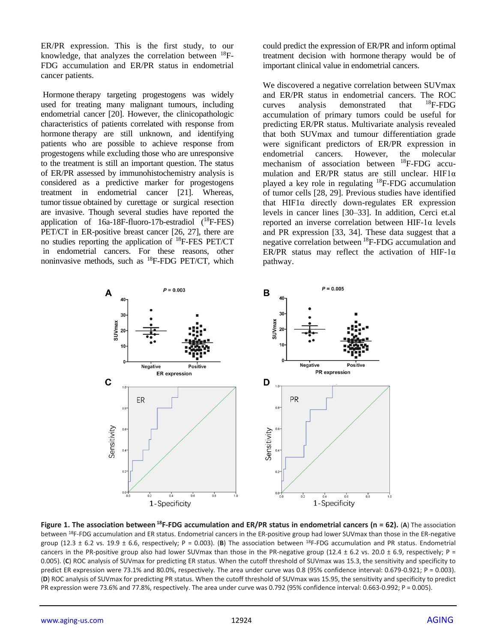ER/PR expression. This is the first study, to our knowledge, that analyzes the correlation between  $^{18}F-$ FDG accumulation and ER/PR status in endometrial cancer patients.

Hormone therapy targeting progestogens was widely used for treating many malignant tumours, including endometrial cancer [20]. However, the clinicopathologic characteristics of patients correlated with response from hormone therapy are still unknown, and identifying patients who are possible to achieve response from progestogens while excluding those who are unresponsive to the treatment is still an important question. The status of ER/PR assessed by immunohistochemistry analysis is considered as a predictive marker for progestogens treatment in endometrial cancer [21]. Whereas, tumor tissue obtained by curettage or surgical resection are invasive. Though several studies have reported the application of  $16a-18F-fluoro-17b-estradiol$   $(^{18}F-FES)$ PET/CT in ER-positive breast cancer [26, 27], there are no studies reporting the application of <sup>18</sup>F-FES PET/CT in endometrial cancers. For these reasons, other noninvasive methods, such as <sup>18</sup>F-FDG PET/CT, which could predict the expression of ER/PR and inform optimal treatment decision with hormone therapy would be of important clinical value in endometrial cancers.

We discovered a negative correlation between SUVmax and ER/PR status in endometrial cancers. The ROC curves analysis demonstrated that  ${}^{18}F$ -FDG accumulation of primary tumors could be useful for predicting ER/PR status. Multivariate analysis revealed that both SUVmax and tumour differentiation grade were significant predictors of ER/PR expression in endometrial cancers. However, the molecular mechanism of association between <sup>18</sup>F-FDG accumulation and ER/PR status are still unclear. HIF1 $\alpha$ played a key role in regulating <sup>18</sup>F-FDG accumulation of tumor cells [28, 29]. Previous studies have identified that  $HIF1\alpha$  directly down-regulates ER expression levels in cancer lines [30–33]. In addition, Cerci et.al reported an inverse correlation between HIF-1α levels and PR expression [33, 34]. These data suggest that a negative correlation between <sup>18</sup>F-FDG accumulation and ER/PR status may reflect the activation of HIF-1 $\alpha$ pathway.



**Figure 1. The association between <sup>18</sup>F-FDG accumulation and ER/PR status in endometrial cancers (n = 62).** (**A**) The association between <sup>18</sup>F-FDG accumulation and ER status. Endometrial cancers in the ER-positive group had lower SUVmax than those in the ER-negative group (12.3  $\pm$  6.2 vs. 19.9  $\pm$  6.6, respectively; P = 0.003). (B) The association between <sup>18</sup>F-FDG accumulation and PR status. Endometrial cancers in the PR-positive group also had lower SUVmax than those in the PR-negative group (12.4  $\pm$  6.2 vs. 20.0  $\pm$  6.9, respectively; P = 0.005). (**C**) ROC analysis of SUVmax for predicting ER status. When the cutoff threshold of SUVmax was 15.3, the sensitivity and specificity to predict ER expression were 73.1% and 80.0%, respectively. The area under curve was 0.8 (95% confidence interval: 0.679-0.921; P = 0.003). (**D**) ROC analysis of SUVmax for predicting PR status. When the cutoff threshold of SUVmax was 15.95, the sensitivity and specificity to predict PR expression were 73.6% and 77.8%, respectively. The area under curve was 0.792 (95% confidence interval: 0.663-0.992; P = 0.005).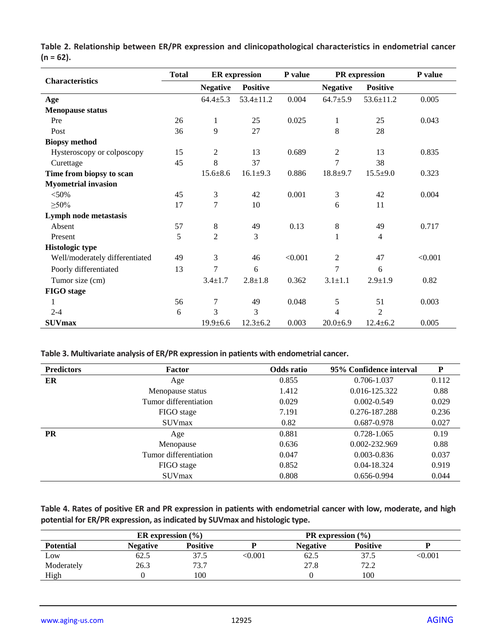|                                | <b>Total</b> | <b>ER</b> expression |                 | P value | PR expression   |                 | P value |
|--------------------------------|--------------|----------------------|-----------------|---------|-----------------|-----------------|---------|
| <b>Characteristics</b>         |              | <b>Negative</b>      | <b>Positive</b> |         | <b>Negative</b> | <b>Positive</b> |         |
| Age                            |              | $64.4 \pm 5.3$       | $53.4 \pm 11.2$ | 0.004   | $64.7 \pm 5.9$  | $53.6 \pm 11.2$ | 0.005   |
| <b>Menopause status</b>        |              |                      |                 |         |                 |                 |         |
| Pre                            | 26           | $\mathbf{1}$         | 25              | 0.025   | $\mathbf{1}$    | 25              | 0.043   |
| Post                           | 36           | 9                    | 27              |         | 8               | 28              |         |
| <b>Biopsy method</b>           |              |                      |                 |         |                 |                 |         |
| Hysteroscopy or colposcopy     | 15           | $\overline{c}$       | 13              | 0.689   | $\overline{c}$  | 13              | 0.835   |
| Curettage                      | 45           | 8                    | 37              |         | 7               | 38              |         |
| Time from biopsy to scan       |              | $15.6 \pm 8.6$       | $16.1 \pm 9.3$  | 0.886   | $18.8 + 9.7$    | $15.5 \pm 9.0$  | 0.323   |
| <b>Myometrial invasion</b>     |              |                      |                 |         |                 |                 |         |
| $<$ 50%                        | 45           | 3                    | 42              | 0.001   | 3               | 42              | 0.004   |
| $\geq 50\%$                    | 17           | 7                    | 10              |         | 6               | 11              |         |
| Lymph node metastasis          |              |                      |                 |         |                 |                 |         |
| Absent                         | 57           | 8                    | 49              | 0.13    | 8               | 49              | 0.717   |
| Present                        | 5            | $\overline{c}$       | 3               |         |                 | 4               |         |
| <b>Histologic type</b>         |              |                      |                 |         |                 |                 |         |
| Well/moderately differentiated | 49           | 3                    | 46              | < 0.001 | $\overline{c}$  | 47              | < 0.001 |
| Poorly differentiated          | 13           | 7                    | 6               |         | $\overline{7}$  | 6               |         |
| Tumor size (cm)                |              | $3.4 \pm 1.7$        | $2.8 + 1.8$     | 0.362   | $3.1 \pm 1.1$   | $2.9 \pm 1.9$   | 0.82    |
| <b>FIGO</b> stage              |              |                      |                 |         |                 |                 |         |
| 1                              | 56           | 7                    | 49              | 0.048   | 5               | 51              | 0.003   |
| $2 - 4$                        | 6            | 3                    | 3               |         | 4               | 2               |         |
| <b>SUVmax</b>                  |              | $19.9 \pm 6.6$       | $12.3 \pm 6.2$  | 0.003   | $20.0 \pm 6.9$  | $12.4 \pm 6.2$  | 0.005   |

**Table 2. Relationship between ER/PR expression and clinicopathological characteristics in endometrial cancer (n = 62).**

**Table 3. Multivariate analysis of ER/PR expression in patients with endometrial cancer.**

| <b>Predictors</b> | Factor                | Odds ratio | 95% Confidence interval | P     |
|-------------------|-----------------------|------------|-------------------------|-------|
| ER                | 0.855<br>Age          |            | 0.706-1.037             | 0.112 |
|                   | Menopause status      | 1.412      | 0.016-125.322           | 0.88  |
|                   | Tumor differentiation | 0.029      | $0.002 - 0.549$         | 0.029 |
|                   | FIGO stage            | 7.191      | 0.276-187.288           | 0.236 |
|                   | <b>SUV</b> max        | 0.82       | 0.687-0.978             | 0.027 |
| <b>PR</b>         | Age                   | 0.881      | 0.728-1.065             | 0.19  |
|                   | Menopause             | 0.636      | 0.002-232.969           | 0.88  |
|                   | Tumor differentiation | 0.047      | $0.003 - 0.836$         | 0.037 |
|                   | FIGO stage            | 0.852      | 0.04-18.324             | 0.919 |
|                   | <b>SUV</b> max        | 0.808      | 0.656-0.994             | 0.044 |

**Table 4. Rates of positive ER and PR expression in patients with endometrial cancer with low, moderate, and high potential for ER/PR expression, as indicated by SUVmax and histologic type.**

|                  | ER expression $(\% )$ |                 |                | <b>PR</b> expression $(\% )$ |                                       |         |
|------------------|-----------------------|-----------------|----------------|------------------------------|---------------------------------------|---------|
| <b>Potential</b> | Negative              | <b>Positive</b> |                | <b>Negative</b>              | <b>Positive</b>                       |         |
| Low              | 62.5                  | 37.5            | $<$ 0.001 $\,$ | 62.5                         | 37.5                                  | < 0.001 |
| Moderately       | 26.3                  | 73.7            |                | 27.8                         | 72.2<br>$\mathcal{L}$ . $\mathcal{L}$ |         |
| High             |                       | 100             |                |                              | 100                                   |         |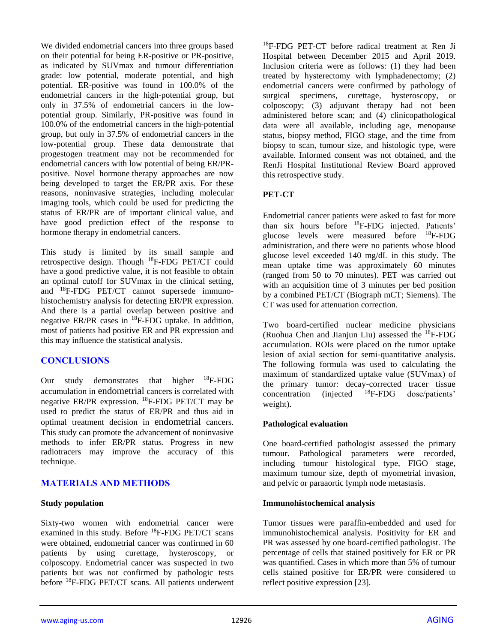We divided endometrial cancers into three groups based on their potential for being ER-positive or PR-positive, as indicated by SUVmax and tumour differentiation grade: low potential, moderate potential, and high potential. ER-positive was found in 100.0% of the endometrial cancers in the high-potential group, but only in 37.5% of endometrial cancers in the lowpotential group. Similarly, PR-positive was found in 100.0% of the endometrial cancers in the high-potential group, but only in 37.5% of endometrial cancers in the low-potential group. These data demonstrate that progestogen treatment may not be recommended for endometrial cancers with low potential of being ER/PRpositive. Novel hormone therapy approaches are now being developed to target the ER/PR axis. For these reasons, noninvasive strategies, including molecular imaging tools, which could be used for predicting the status of ER/PR are of important clinical value, and have good prediction effect of the response to hormone therapy in endometrial cancers.

This study is limited by its small sample and retrospective design. Though <sup>18</sup>F-FDG PET/CT could have a good predictive value, it is not feasible to obtain an optimal cutoff for SUVmax in the clinical setting, and <sup>18</sup>F-FDG PET/CT cannot supersede immunohistochemistry analysis for detecting ER/PR expression. And there is a partial overlap between positive and negative ER/PR cases in <sup>18</sup>F-FDG uptake. In addition, most of patients had positive ER and PR expression and this may influence the statistical analysis.

## **CONCLUSIONS**

Our study demonstrates that higher  $^{18}$ F-FDG accumulation in endometrial cancers is correlated with negative ER/PR expression. <sup>18</sup>F-FDG PET/CT may be used to predict the status of ER/PR and thus aid in optimal treatment decision in endometrial cancers. This study can promote the advancement of noninvasive methods to infer ER/PR status. Progress in new radiotracers may improve the accuracy of this technique.

## **MATERIALS AND METHODS**

#### **Study population**

Sixty-two women with endometrial cancer were examined in this study. Before  $^{18}$ F-FDG PET/CT scans were obtained, endometrial cancer was confirmed in 60 patients by using curettage, hysteroscopy, or colposcopy. Endometrial cancer was suspected in two patients but was not confirmed by pathologic tests before <sup>18</sup>F-FDG PET/CT scans. All patients underwent

<sup>18</sup>F-FDG PET-CT before radical treatment at Ren Ji Hospital between December 2015 and April 2019. Inclusion criteria were as follows: (1) they had been treated by hysterectomy with lymphadenectomy; (2) endometrial cancers were confirmed by pathology of surgical specimens, curettage, hysteroscopy, or colposcopy; (3) adjuvant therapy had not been administered before scan; and (4) clinicopathological data were all available, including age, menopause status, biopsy method, FIGO stage, and the time from biopsy to scan, tumour size, and histologic type, were available. Informed consent was not obtained, and the RenJi Hospital Institutional Review Board approved this retrospective study.

## **PET-CT**

Endometrial cancer patients were asked to fast for more than six hours before <sup>18</sup>F-FDG injected. Patients' glucose levels were measured before <sup>18</sup>F-FDG administration, and there were no patients whose blood glucose level exceeded 140 mg/dL in this study. The mean uptake time was approximately 60 minutes (ranged from 50 to 70 minutes). PET was carried out with an acquisition time of 3 minutes per bed position by a combined PET/CT (Biograph mCT; Siemens). The CT was used for attenuation correction.

Two board-certified nuclear medicine physicians (Ruohua Chen and Jianjun Liu) assessed the  ${}^{18}F$ -FDG accumulation. ROIs were placed on the tumor uptake lesion of axial section for semi-quantitative analysis. The following formula was used to calculating the maximum of standardized uptake value (SUVmax) of the primary tumor: decay-corrected tracer tissue concentration (injected <sup>18</sup>F-FDG dose/patients' weight).

## **Pathological evaluation**

One board-certified pathologist assessed the primary tumour. Pathological parameters were recorded, including tumour histological type, FIGO stage, maximum tumour size, depth of myometrial invasion, and pelvic or paraaortic lymph node metastasis.

#### **Immunohistochemical analysis**

Tumor tissues were paraffin-embedded and used for immunohistochemical analysis. Positivity for ER and PR was assessed by one board-certified pathologist. The percentage of cells that stained positively for ER or PR was quantified. Cases in which more than 5% of tumour cells stained positive for ER/PR were considered to reflect positive expression [23].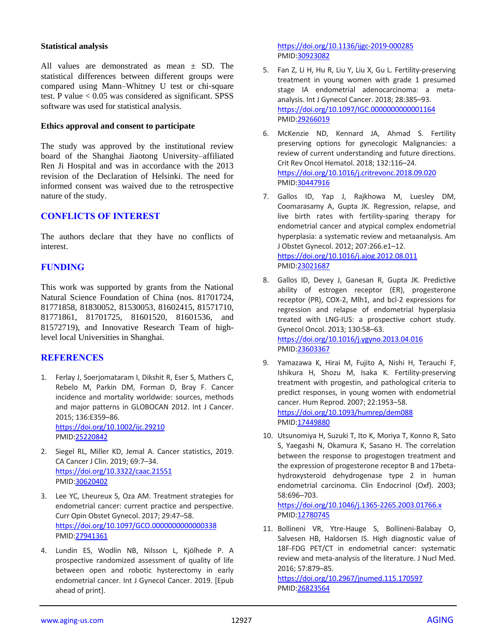#### **Statistical analysis**

All values are demonstrated as mean  $\pm$  SD. The statistical differences between different groups were compared using Mann–Whitney U test or chi-square test. P value  $< 0.05$  was considered as significant. SPSS software was used for statistical analysis.

#### **Ethics approval and consent to participate**

The study was approved by the institutional review board of the Shanghai Jiaotong University–affiliated Ren Ji Hospital and was in accordance with the 2013 revision of the Declaration of Helsinki. The need for informed consent was waived due to the retrospective nature of the study.

## **CONFLICTS OF INTEREST**

The authors declare that they have no conflicts of interest.

## **FUNDING**

This work was supported by grants from the National Natural Science Foundation of China (nos. 81701724, 81771858, 81830052, 81530053, 81602415, 81571710, 81771861, 81701725, 81601520, 81601536, and 81572719), and Innovative Research Team of highlevel local Universities in Shanghai.

## **REFERENCES**

- 1. Ferlay J, Soerjomataram I, Dikshit R, Eser S, Mathers C, Rebelo M, Parkin DM, Forman D, Bray F. Cancer incidence and mortality worldwide: sources, methods and major patterns in GLOBOCAN 2012. Int J Cancer. 2015; 136:E359–86. <https://doi.org/10.1002/ijc.29210> PMID[:25220842](https://pubmed.ncbi.nlm.nih.gov/25220842)
- 2. Siegel RL, Miller KD, Jemal A. Cancer statistics, 2019. CA Cancer J Clin. 2019; 69:7–34. <https://doi.org/10.3322/caac.21551> PMID[:30620402](https://pubmed.ncbi.nlm.nih.gov/30620402)
- 3. Lee YC, Lheureux S, Oza AM. Treatment strategies for endometrial cancer: current practice and perspective. Curr Opin Obstet Gynecol. 2017; 29:47–58. <https://doi.org/10.1097/GCO.0000000000000338> PMID[:27941361](https://pubmed.ncbi.nlm.nih.gov/27941361)
- 4. Lundin ES, Wodlin NB, Nilsson L, Kjölhede P. A prospective randomized assessment of quality of life between open and robotic hysterectomy in early endometrial cancer. Int J Gynecol Cancer. 2019. [Epub ahead of print].

<https://doi.org/10.1136/ijgc-2019-000285> PMI[D:30923082](https://pubmed.ncbi.nlm.nih.gov/30923082)

- 5. Fan Z, Li H, Hu R, Liu Y, Liu X, Gu L. Fertility-preserving treatment in young women with grade 1 presumed stage IA endometrial adenocarcinoma: a metaanalysis. Int J Gynecol Cancer. 2018; 28:385–93. <https://doi.org/10.1097/IGC.0000000000001164> PMI[D:29266019](https://pubmed.ncbi.nlm.nih.gov/29266019)
- 6. McKenzie ND, Kennard JA, Ahmad S. Fertility preserving options for gynecologic Malignancies: a review of current understanding and future directions. Crit Rev Oncol Hematol. 2018; 132:116–24. <https://doi.org/10.1016/j.critrevonc.2018.09.020> PMI[D:30447916](https://pubmed.ncbi.nlm.nih.gov/30447916)
- 7. Gallos ID, Yap J, Rajkhowa M, Luesley DM, Coomarasamy A, Gupta JK. Regression, relapse, and live birth rates with fertility-sparing therapy for endometrial cancer and atypical complex endometrial hyperplasia: a systematic review and metaanalysis. Am J Obstet Gynecol. 2012; 207:266.e1–12. <https://doi.org/10.1016/j.ajog.2012.08.011> PMI[D:23021687](https://pubmed.ncbi.nlm.nih.gov/23021687)
- 8. Gallos ID, Devey J, Ganesan R, Gupta JK. Predictive ability of estrogen receptor (ER), progesterone receptor (PR), COX-2, Mlh1, and bcl-2 expressions for regression and relapse of endometrial hyperplasia treated with LNG-IUS: a prospective cohort study. Gynecol Oncol. 2013; 130:58–63. <https://doi.org/10.1016/j.ygyno.2013.04.016>

PMI[D:23603367](https://pubmed.ncbi.nlm.nih.gov/23603367)

- 9. Yamazawa K, Hirai M, Fujito A, Nishi H, Terauchi F, Ishikura H, Shozu M, Isaka K. Fertility-preserving treatment with progestin, and pathological criteria to predict responses, in young women with endometrial cancer. Hum Reprod. 2007; 22:1953–58. <https://doi.org/10.1093/humrep/dem088> PMI[D:17449880](https://pubmed.ncbi.nlm.nih.gov/17449880)
- 10. Utsunomiya H, Suzuki T, Ito K, Moriya T, Konno R, Sato S, Yaegashi N, Okamura K, Sasano H. The correlation between the response to progestogen treatment and the expression of progesterone receptor B and 17betahydroxysteroid dehydrogenase type 2 in human endometrial carcinoma. Clin Endocrinol (Oxf). 2003; 58:696–703.

<https://doi.org/10.1046/j.1365-2265.2003.01766.x> PMI[D:12780745](https://pubmed.ncbi.nlm.nih.gov/12780745)

11. Bollineni VR, Ytre-Hauge S, Bollineni-Balabay O, Salvesen HB, Haldorsen IS. High diagnostic value of 18F-FDG PET/CT in endometrial cancer: systematic review and meta-analysis of the literature. J Nucl Med. 2016; 57:879–85.

<https://doi.org/10.2967/jnumed.115.170597> PMI[D:26823564](https://pubmed.ncbi.nlm.nih.gov/26823564)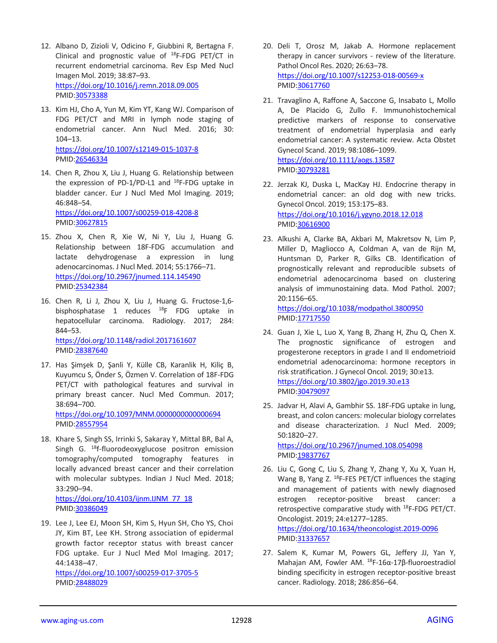- 12. Albano D, Zizioli V, Odicino F, Giubbini R, Bertagna F. Clinical and prognostic value of <sup>18</sup>F-FDG PET/CT in recurrent endometrial carcinoma. Rev Esp Med Nucl Imagen Mol. 2019; 38:87–93. <https://doi.org/10.1016/j.remn.2018.09.005> PMID[:30573388](https://pubmed.ncbi.nlm.nih.gov/30573388)
- 13. Kim HJ, Cho A, Yun M, Kim YT, Kang WJ. Comparison of FDG PET/CT and MRI in lymph node staging of endometrial cancer. Ann Nucl Med. 2016; 30: 104–13. <https://doi.org/10.1007/s12149-015-1037-8> PMID[:26546334](https://pubmed.ncbi.nlm.nih.gov/26546334)
- 14. Chen R, Zhou X, Liu J, Huang G. Relationship between the expression of PD-1/PD-L1 and  $^{18}$ F-FDG uptake in bladder cancer. Eur J Nucl Med Mol Imaging. 2019; 46:848–54. <https://doi.org/10.1007/s00259-018-4208-8>

PMID[:30627815](https://pubmed.ncbi.nlm.nih.gov/30627815)

- 15. Zhou X, Chen R, Xie W, Ni Y, Liu J, Huang G. Relationship between 18F-FDG accumulation and lactate dehydrogenase a expression in lung adenocarcinomas. J Nucl Med. 2014; 55:1766–71. <https://doi.org/10.2967/jnumed.114.145490> PMID[:25342384](https://pubmed.ncbi.nlm.nih.gov/25342384)
- 16. Chen R, Li J, Zhou X, Liu J, Huang G. Fructose-1,6 bisphosphatase 1 reduces <sup>18</sup>F FDG uptake in hepatocellular carcinoma. Radiology. 2017; 284: 844–53.

<https://doi.org/10.1148/radiol.2017161607> PMID[:28387640](https://pubmed.ncbi.nlm.nih.gov/28387640)

- 17. Has Şimşek D, Şanli Y, Külle CB, Karanlik H, Kiliç B, Kuyumcu S, Önder S, Özmen V. Correlation of 18F-FDG PET/CT with pathological features and survival in primary breast cancer. Nucl Med Commun. 2017; 38:694–700. <https://doi.org/10.1097/MNM.0000000000000694> PMID[:28557954](https://pubmed.ncbi.nlm.nih.gov/28557954)
- 18. Khare S, Singh SS, Irrinki S, Sakaray Y, Mittal BR, Bal A, Singh G. <sup>18</sup>f-fluorodeoxyglucose positron emission tomography/computed tomography features in locally advanced breast cancer and their correlation with molecular subtypes. Indian J Nucl Med. 2018; 33:290–94.

[https://doi.org/10.4103/ijnm.IJNM\\_77\\_18](https://doi.org/10.4103/ijnm.IJNM_77_18) PMID[:30386049](https://pubmed.ncbi.nlm.nih.gov/30386049)

19. Lee J, Lee EJ, Moon SH, Kim S, Hyun SH, Cho YS, Choi JY, Kim BT, Lee KH. Strong association of epidermal growth factor receptor status with breast cancer FDG uptake. Eur J Nucl Med Mol Imaging. 2017; 44:1438–47.

<https://doi.org/10.1007/s00259-017-3705-5> PMID[:28488029](https://pubmed.ncbi.nlm.nih.gov/28488029)

- 20. Deli T, Orosz M, Jakab A. Hormone replacement therapy in cancer survivors - review of the literature. Pathol Oncol Res. 2020; 26:63–78. <https://doi.org/10.1007/s12253-018-00569-x> PMI[D:30617760](https://pubmed.ncbi.nlm.nih.gov/30617760)
- 21. Travaglino A, Raffone A, Saccone G, Insabato L, Mollo A, De Placido G, Zullo F. Immunohistochemical predictive markers of response to conservative treatment of endometrial hyperplasia and early endometrial cancer: A systematic review. Acta Obstet Gynecol Scand. 2019; 98:1086–1099. <https://doi.org/10.1111/aogs.13587> PMI[D:30793281](https://pubmed.ncbi.nlm.nih.gov/30793281)
- 22. Jerzak KJ, Duska L, MacKay HJ. Endocrine therapy in endometrial cancer: an old dog with new tricks. Gynecol Oncol. 2019; 153:175–83. <https://doi.org/10.1016/j.ygyno.2018.12.018> PMI[D:30616900](https://pubmed.ncbi.nlm.nih.gov/30616900)
- 23. Alkushi A, Clarke BA, Akbari M, Makretsov N, Lim P, Miller D, Magliocco A, Coldman A, van de Rijn M, Huntsman D, Parker R, Gilks CB. Identification of prognostically relevant and reproducible subsets of endometrial adenocarcinoma based on clustering analysis of immunostaining data. Mod Pathol. 2007; 20:1156–65.

<https://doi.org/10.1038/modpathol.3800950> PMI[D:17717550](https://pubmed.ncbi.nlm.nih.gov/17717550)

- 24. Guan J, Xie L, Luo X, Yang B, Zhang H, Zhu Q, Chen X. The prognostic significance of estrogen and progesterone receptors in grade I and II endometrioid endometrial adenocarcinoma: hormone receptors in risk stratification. J Gynecol Oncol. 2019; 30:e13. <https://doi.org/10.3802/jgo.2019.30.e13> PMI[D:30479097](https://pubmed.ncbi.nlm.nih.gov/30479097)
- 25. Jadvar H, Alavi A, Gambhir SS. 18F-FDG uptake in lung, breast, and colon cancers: molecular biology correlates and disease characterization. J Nucl Med. 2009; 50:1820–27.

<https://doi.org/10.2967/jnumed.108.054098> PMI[D:19837767](https://pubmed.ncbi.nlm.nih.gov/19837767)

26. Liu C, Gong C, Liu S, Zhang Y, Zhang Y, Xu X, Yuan H, Wang B, Yang Z. <sup>18</sup>F-FES PET/CT influences the staging and management of patients with newly diagnosed estrogen receptor-positive breast cancer: a retrospective comparative study with <sup>18</sup>F-FDG PET/CT. Oncologist. 2019; 24:e1277–1285. <https://doi.org/10.1634/theoncologist.2019-0096>

PMI[D:31337657](https://pubmed.ncbi.nlm.nih.gov/31337657)

27. Salem K, Kumar M, Powers GL, Jeffery JJ, Yan Y, Mahajan AM, Fowler AM. <sup>18</sup>F-16α-17β-fluoroestradiol binding specificity in estrogen receptor-positive breast cancer. Radiology. 2018; 286:856–64.